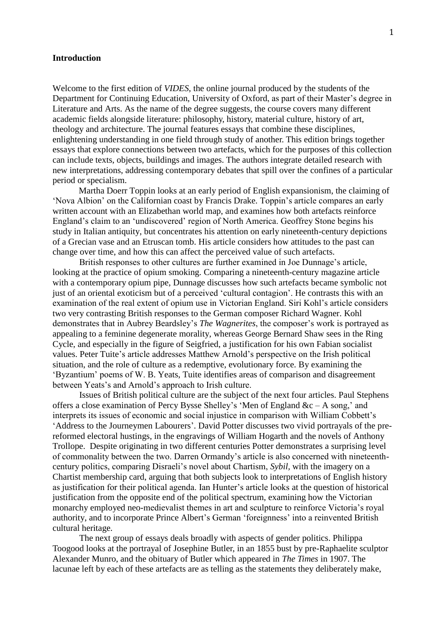## **Introduction**

Welcome to the first edition of *VIDES*, the online journal produced by the students of the Department for Continuing Education, University of Oxford, as part of their Master's degree in Literature and Arts. As the name of the degree suggests, the course covers many different academic fields alongside literature: philosophy, history, material culture, history of art, theology and architecture. The journal features essays that combine these disciplines, enlightening understanding in one field through study of another. This edition brings together essays that explore connections between two artefacts, which for the purposes of this collection can include texts, objects, buildings and images. The authors integrate detailed research with new interpretations, addressing contemporary debates that spill over the confines of a particular period or specialism.

Martha Doerr Toppin looks at an early period of English expansionism, the claiming of 'Nova Albion' on the Californian coast by Francis Drake. Toppin's article compares an early written account with an Elizabethan world map, and examines how both artefacts reinforce England's claim to an 'undiscovered' region of North America. Geoffrey Stone begins his study in Italian antiquity, but concentrates his attention on early nineteenth-century depictions of a Grecian vase and an Etruscan tomb. His article considers how attitudes to the past can change over time, and how this can affect the perceived value of such artefacts.

British responses to other cultures are further examined in Joe Dunnage's article, looking at the practice of opium smoking. Comparing a nineteenth-century magazine article with a contemporary opium pipe, Dunnage discusses how such artefacts became symbolic not just of an oriental exoticism but of a perceived 'cultural contagion'. He contrasts this with an examination of the real extent of opium use in Victorian England. Siri Kohl's article considers two very contrasting British responses to the German composer Richard Wagner. Kohl demonstrates that in Aubrey Beardsley's *The Wagnerites*, the composer's work is portrayed as appealing to a feminine degenerate morality, whereas George Bernard Shaw sees in the Ring Cycle, and especially in the figure of Seigfried, a justification for his own Fabian socialist values. Peter Tuite's article addresses Matthew Arnold's perspective on the Irish political situation, and the role of culture as a redemptive, evolutionary force. By examining the 'Byzantium' poems of W. B. Yeats, Tuite identifies areas of comparison and disagreement between Yeats's and Arnold's approach to Irish culture.

Issues of British political culture are the subject of the next four articles. Paul Stephens offers a close examination of Percy Bysse Shelley's 'Men of England &c – A song,' and interprets its issues of economic and social injustice in comparison with William Cobbett's 'Address to the Journeymen Labourers'. David Potter discusses two vivid portrayals of the prereformed electoral hustings, in the engravings of William Hogarth and the novels of Anthony Trollope. Despite originating in two different centuries Potter demonstrates a surprising level of commonality between the two. Darren Ormandy's article is also concerned with nineteenthcentury politics, comparing Disraeli's novel about Chartism, *Sybil,* with the imagery on a Chartist membership card, arguing that both subjects look to interpretations of English history as justification for their political agenda. Ian Hunter's article looks at the question of historical justification from the opposite end of the political spectrum, examining how the Victorian monarchy employed neo-medievalist themes in art and sculpture to reinforce Victoria's royal authority, and to incorporate Prince Albert's German 'foreignness' into a reinvented British cultural heritage.

The next group of essays deals broadly with aspects of gender politics. Philippa Toogood looks at the portrayal of Josephine Butler, in an 1855 bust by pre-Raphaelite sculptor Alexander Munro, and the obituary of Butler which appeared in *The Times* in 1907. The lacunae left by each of these artefacts are as telling as the statements they deliberately make,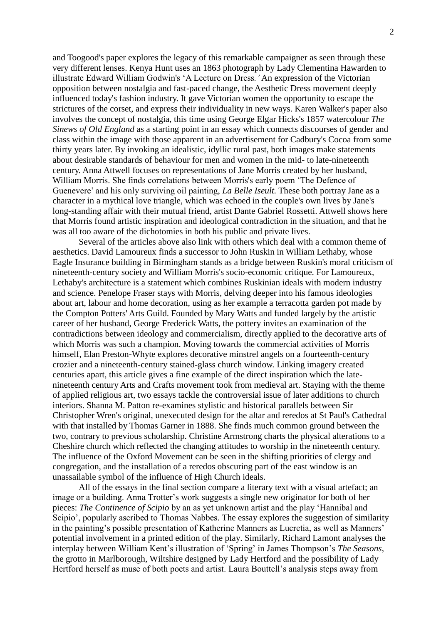and Toogood's paper explores the legacy of this remarkable campaigner as seen through these very different lenses. Kenya Hunt uses an 1863 photograph by Lady Clementina Hawarden to illustrate Edward William Godwin's 'A Lecture on Dress*.'* An expression of the Victorian opposition between nostalgia and fast-paced change, the Aesthetic Dress movement deeply influenced today's fashion industry. It gave Victorian women the opportunity to escape the strictures of the corset, and express their individuality in new ways. Karen Walker's paper also involves the concept of nostalgia, this time using George Elgar Hicks's 1857 watercolour *The Sinews of Old England* as a starting point in an essay which connects discourses of gender and class within the image with those apparent in an advertisement for Cadbury's Cocoa from some thirty years later. By invoking an idealistic, idyllic rural past, both images make statements about desirable standards of behaviour for men and women in the mid- to late-nineteenth century. Anna Attwell focuses on representations of Jane Morris created by her husband, William Morris. She finds correlations between Morris's early poem 'The Defence of Guenevere' and his only surviving oil painting, *La Belle Iseult.* These both portray Jane as a character in a mythical love triangle, which was echoed in the couple's own lives by Jane's long-standing affair with their mutual friend, artist Dante Gabriel Rossetti. Attwell shows here that Morris found artistic inspiration and ideological contradiction in the situation, and that he was all too aware of the dichotomies in both his public and private lives.

Several of the articles above also link with others which deal with a common theme of aesthetics. David Lamoureux finds a successor to John Ruskin in William Lethaby, whose Eagle Insurance building in Birmingham stands as a bridge between Ruskin's moral criticism of nineteenth-century society and William Morris's socio-economic critique. For Lamoureux, Lethaby's architecture is a statement which combines Ruskinian ideals with modern industry and science. Penelope Fraser stays with Morris, delving deeper into his famous ideologies about art, labour and home decoration, using as her example a terracotta garden pot made by the Compton Potters' Arts Guild. Founded by Mary Watts and funded largely by the artistic career of her husband, George Frederick Watts, the pottery invites an examination of the contradictions between ideology and commercialism, directly applied to the decorative arts of which Morris was such a champion. Moving towards the commercial activities of Morris himself, Elan Preston-Whyte explores decorative minstrel angels on a fourteenth-century crozier and a nineteenth-century stained-glass church window. Linking imagery created centuries apart, this article gives a fine example of the direct inspiration which the latenineteenth century Arts and Crafts movement took from medieval art. Staying with the theme of applied religious art, two essays tackle the controversial issue of later additions to church interiors. Shanna M. Patton re-examines stylistic and historical parallels between Sir Christopher Wren's original, unexecuted design for the altar and reredos at St Paul's Cathedral with that installed by Thomas Garner in 1888. She finds much common ground between the two, contrary to previous scholarship. Christine Armstrong charts the physical alterations to a Cheshire church which reflected the changing attitudes to worship in the nineteenth century. The influence of the Oxford Movement can be seen in the shifting priorities of clergy and congregation, and the installation of a reredos obscuring part of the east window is an unassailable symbol of the influence of High Church ideals.

All of the essays in the final section compare a literary text with a visual artefact; an image or a building. Anna Trotter's work suggests a single new originator for both of her pieces: *The Continence of Scipio* by an as yet unknown artist and the play 'Hannibal and Scipio', popularly ascribed to Thomas Nabbes. The essay explores the suggestion of similarity in the painting's possible presentation of Katherine Manners as Lucretia, as well as Manners' potential involvement in a printed edition of the play. Similarly, Richard Lamont analyses the interplay between William Kent's illustration of 'Spring' in James Thompson's *The Seasons*, the grotto in Marlborough, Wiltshire designed by Lady Hertford and the possibility of Lady Hertford herself as muse of both poets and artist. Laura Bouttell's analysis steps away from